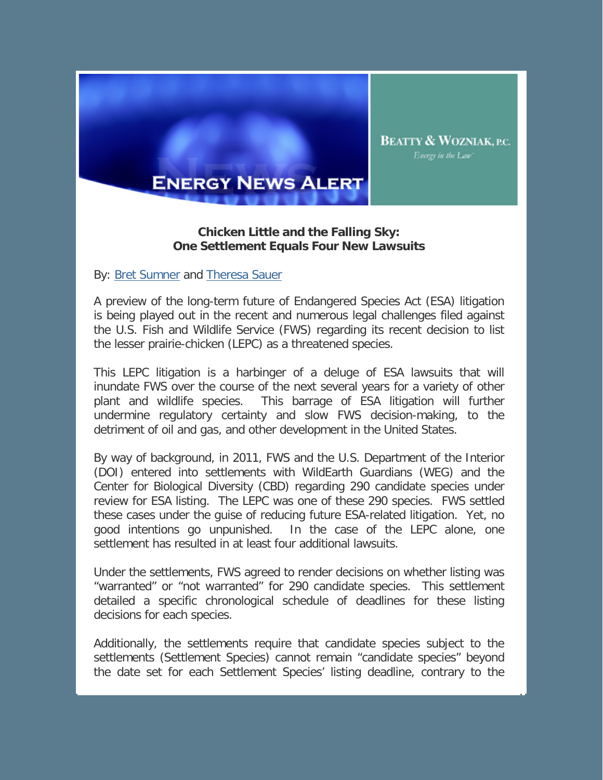

## **ENERGY NEWS ALERT**

## **Chicken Little and the Falling Sky: One Settlement Equals Four New Lawsuits**

By: Bret Sumner and Theresa Sauer

A preview of the long-term future of Endangered Species Act (ESA) litigation is being played out in the recent and numerous legal challenges filed against the U.S. Fish and Wildlife Service (FWS) regarding its recent decision to list the lesser prairie-chicken (LEPC) as a threatened species.

This LEPC litigation is a harbinger of a deluge of ESA lawsuits that will inundate FWS over the course of the next several years for a variety of other plant and wildlife species. This barrage of ESA litigation will further undermine regulatory certainty and slow FWS decision-making, to the detriment of oil and gas, and other development in the United States.

By way of background, in 2011, FWS and the U.S. Department of the Interior (DOI) entered into settlements with WildEarth Guardians (WEG) and the Center for Biological Diversity (CBD) regarding 290 candidate species under review for ESA listing. The LEPC was one of these 290 species. FWS settled these cases under the guise of reducing future ESA-related litigation. Yet, no good intentions go unpunished. In the case of the LEPC alone, one settlement has resulted in at least four additional lawsuits.

Under the settlements, FWS agreed to render decisions on whether listing was "warranted" or "not warranted" for 290 candidate species. This settlement detailed a specific chronological schedule of deadlines for these listing decisions for each species.

Additionally, the settlements require that candidate species subject to the settlements (Settlement Species) cannot remain "candidate species" beyond the date set for each Settlement Species' listing deadline, contrary to the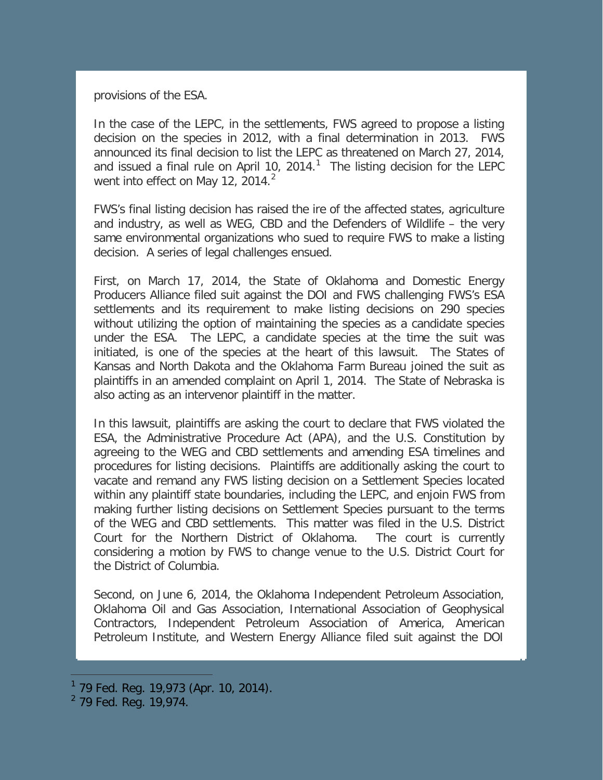provisions of the ESA.

In the case of the LEPC, in the settlements, FWS agreed to propose a listing decision on the species in 2012, with a final determination in 2013. FWS announced its final decision to list the LEPC as threatened on March 27, 2014, and issued a final rule on April [1](#page-1-0)0, 2014. $<sup>1</sup>$  The listing decision for the LEPC</sup> went into effect on May 1[2](#page-1-1), 2014.<sup>2</sup>

FWS's final listing decision has raised the ire of the affected states, agriculture and industry, as well as WEG, CBD and the Defenders of Wildlife – the very same environmental organizations who sued to require FWS to make a listing decision. A series of legal challenges ensued.

First, on March 17, 2014, the State of Oklahoma and Domestic Energy Producers Alliance filed suit against the DOI and FWS challenging FWS's ESA settlements and its requirement to make listing decisions on 290 species without utilizing the option of maintaining the species as a candidate species under the ESA. The LEPC, a candidate species at the time the suit was initiated, is one of the species at the heart of this lawsuit. The States of Kansas and North Dakota and the Oklahoma Farm Bureau joined the suit as plaintiffs in an amended complaint on April 1, 2014. The State of Nebraska is also acting as an intervenor plaintiff in the matter.

In this lawsuit, plaintiffs are asking the court to declare that FWS violated the ESA, the Administrative Procedure Act (APA), and the U.S. Constitution by agreeing to the WEG and CBD settlements and amending ESA timelines and procedures for listing decisions. Plaintiffs are additionally asking the court to vacate and remand any FWS listing decision on a Settlement Species located within any plaintiff state boundaries, including the LEPC, and enjoin FWS from making further listing decisions on Settlement Species pursuant to the terms of the WEG and CBD settlements. This matter was filed in the U.S. District Court for the Northern District of Oklahoma. The court is currently considering a motion by FWS to change venue to the U.S. District Court for the District of Columbia.

Second, on June 6, 2014, the Oklahoma Independent Petroleum Association, Oklahoma Oil and Gas Association, International Association of Geophysical Contractors, Independent Petroleum Association of America, American Petroleum Institute, and Western Energy Alliance filed suit against the DOI

l

<span id="page-1-0"></span><sup>&</sup>lt;sup>1</sup> 79 Fed. Reg. 19,973 (Apr. 10, 2014).

<span id="page-1-1"></span> $2$  79 Fed. Reg. 19,974.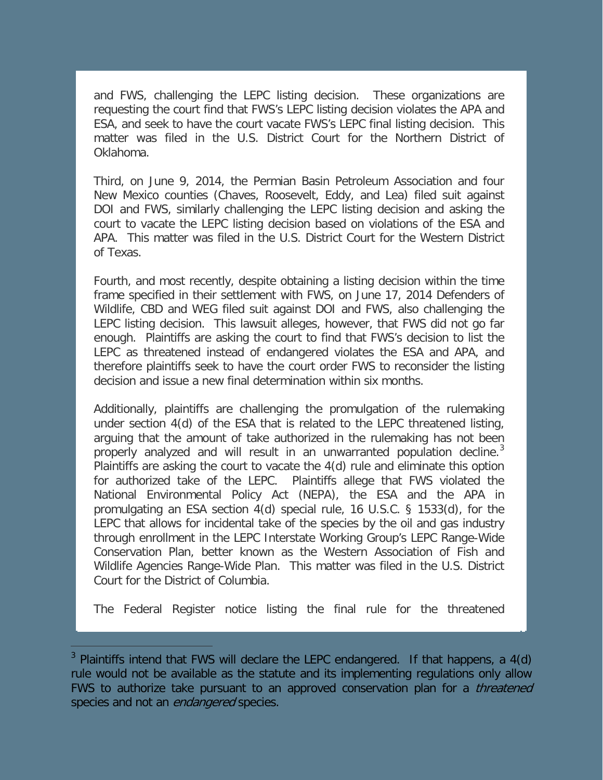and FWS, challenging the LEPC listing decision. These organizations are requesting the court find that FWS's LEPC listing decision violates the APA and ESA, and seek to have the court vacate FWS's LEPC final listing decision. This matter was filed in the U.S. District Court for the Northern District of Oklahoma.

Third, on June 9, 2014, the Permian Basin Petroleum Association and four New Mexico counties (Chaves, Roosevelt, Eddy, and Lea) filed suit against DOI and FWS, similarly challenging the LEPC listing decision and asking the court to vacate the LEPC listing decision based on violations of the ESA and APA. This matter was filed in the U.S. District Court for the Western District of Texas.

Fourth, and most recently, despite obtaining a listing decision within the time frame specified in their settlement with FWS, on June 17, 2014 Defenders of Wildlife, CBD and WEG filed suit against DOI and FWS, also challenging the LEPC listing decision. This lawsuit alleges, however, that FWS did not go far enough. Plaintiffs are asking the court to find that FWS's decision to list the LEPC as threatened instead of endangered violates the ESA and APA, and therefore plaintiffs seek to have the court order FWS to reconsider the listing decision and issue a new final determination within six months.

Additionally, plaintiffs are challenging the promulgation of the rulemaking under section 4(d) of the ESA that is related to the LEPC threatened listing, arguing that the amount of take authorized in the rulemaking has not been properly analyzed and will result in an unwarranted population decline. $3$ Plaintiffs are asking the court to vacate the 4(d) rule and eliminate this option for authorized take of the LEPC. Plaintiffs allege that FWS violated the National Environmental Policy Act (NEPA), the ESA and the APA in promulgating an ESA section 4(d) special rule, 16 U.S.C. § 1533(d), for the LEPC that allows for incidental take of the species by the oil and gas industry through enrollment in the LEPC Interstate Working Group's LEPC Range-Wide Conservation Plan, better known as the Western Association of Fish and Wildlife Agencies Range-Wide Plan. This matter was filed in the U.S. District Court for the District of Columbia.

The Federal Register notice listing the final rule for the threatened

ł

<span id="page-2-0"></span> $3$  Plaintiffs intend that FWS will declare the LEPC endangered. If that happens, a  $4(d)$ rule would not be available as the statute and its implementing regulations only allow FWS to authorize take pursuant to an approved conservation plan for a *threatened* species and not an *endangered* species.